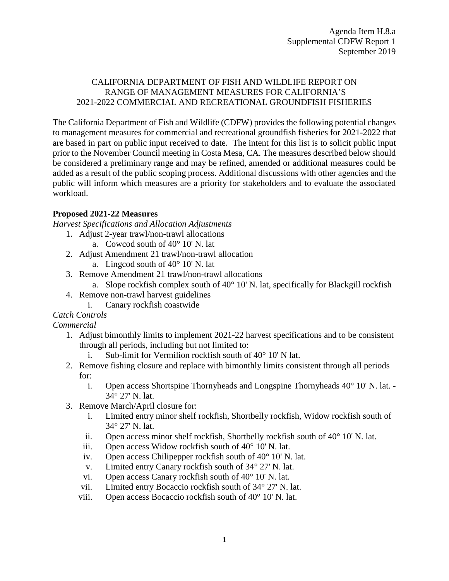## CALIFORNIA DEPARTMENT OF FISH AND WILDLIFE REPORT ON RANGE OF MANAGEMENT MEASURES FOR CALIFORNIA'S 2021-2022 COMMERCIAL AND RECREATIONAL GROUNDFISH FISHERIES

The California Department of Fish and Wildlife (CDFW) provides the following potential changes to management measures for commercial and recreational groundfish fisheries for 2021-2022 that are based in part on public input received to date. The intent for this list is to solicit public input prior to the November Council meeting in Costa Mesa, CA. The measures described below should be considered a preliminary range and may be refined, amended or additional measures could be added as a result of the public scoping process. Additional discussions with other agencies and the public will inform which measures are a priority for stakeholders and to evaluate the associated workload.

# **Proposed 2021-22 Measures**

*Harvest Specifications and Allocation Adjustments*

- 1. Adjust 2-year trawl/non-trawl allocations
	- a. Cowcod south of 40° 10' N. lat
- 2. Adjust Amendment 21 trawl/non-trawl allocation
	- a. Lingcod south of 40° 10' N. lat
- 3. Remove Amendment 21 trawl/non-trawl allocations
	- a. Slope rockfish complex south of  $40^{\circ}$  10' N. lat, specifically for Blackgill rockfish
- 4. Remove non-trawl harvest guidelines
	- i. Canary rockfish coastwide

## *Catch Controls*

*Commercial*

- 1. Adjust bimonthly limits to implement 2021-22 harvest specifications and to be consistent through all periods, including but not limited to:
	- i. Sub-limit for Vermilion rockfish south of 40° 10' N lat.
- 2. Remove fishing closure and replace with bimonthly limits consistent through all periods for:
	- i. Open access Shortspine Thornyheads and Longspine Thornyheads 40° 10' N. lat. 34° 27' N. lat.
- 3. Remove March/April closure for:
	- i. Limited entry minor shelf rockfish, Shortbelly rockfish, Widow rockfish south of 34° 27' N. lat.
	- ii. Open access minor shelf rockfish, Shortbelly rockfish south of 40° 10' N. lat.
	- iii. Open access Widow rockfish south of 40° 10' N. lat.
	- iv. Open access Chilipepper rockfish south of 40° 10' N. lat.
	- v. Limited entry Canary rockfish south of 34° 27' N. lat.
	- vi. Open access Canary rockfish south of 40° 10' N. lat.
	- vii. Limited entry Bocaccio rockfish south of 34° 27' N. lat.
	- viii. Open access Bocaccio rockfish south of 40° 10' N. lat.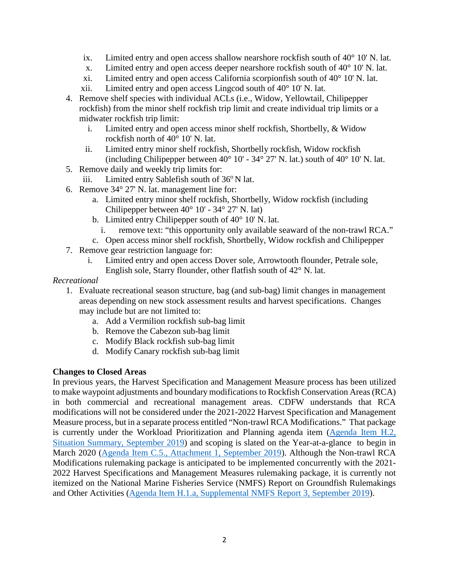- ix. Limited entry and open access shallow nearshore rockfish south of  $40^{\circ}$  10' N. lat.
- x. Limited entry and open access deeper nearshore rockfish south of 40° 10' N. lat.
- xi. Limited entry and open access California scorpionfish south of 40° 10' N. lat.
- xii. Limited entry and open access Lingcod south of 40° 10' N. lat.
- 4. Remove shelf species with individual ACLs (i.e., Widow, Yellowtail, Chilipepper rockfish) from the minor shelf rockfish trip limit and create individual trip limits or a midwater rockfish trip limit:
	- i. Limited entry and open access minor shelf rockfish, Shortbelly, & Widow rockfish north of 40° 10' N. lat.
	- ii. Limited entry minor shelf rockfish, Shortbelly rockfish, Widow rockfish (including Chilipepper between  $40^{\circ}$  10' -  $34^{\circ}$  27' N. lat.) south of  $40^{\circ}$  10' N. lat.
- 5. Remove daily and weekly trip limits for:
- iii. Limited entry Sablefish south of  $36^{\circ}$  N lat.
- 6. Remove 34° 27' N. lat. management line for:
	- a. Limited entry minor shelf rockfish, Shortbelly, Widow rockfish (including Chilipepper between 40° 10' - 34° 27' N. lat)
	- b. Limited entry Chilipepper south of 40° 10' N. lat.
		- i. remove text: "this opportunity only available seaward of the non-trawl RCA."
	- c. Open access minor shelf rockfish, Shortbelly, Widow rockfish and Chilipepper
- 7. Remove gear restriction language for:
	- i. Limited entry and open access Dover sole, Arrowtooth flounder, Petrale sole, English sole, Starry flounder, other flatfish south of 42° N. lat.

### *Recreational*

- 1. Evaluate recreational season structure, bag (and sub-bag) limit changes in management areas depending on new stock assessment results and harvest specifications. Changes may include but are not limited to:
	- a. Add a Vermilion rockfish sub-bag limit
	- b. Remove the Cabezon sub-bag limit
	- c. Modify Black rockfish sub-bag limit
	- d. Modify Canary rockfish sub-bag limit

### **Changes to Closed Areas**

In previous years, the Harvest Specification and Management Measure process has been utilized to make waypoint adjustments and boundary modifications to Rockfish Conservation Areas (RCA) in both commercial and recreational management areas. CDFW understands that RCA modifications will not be considered under the 2021-2022 Harvest Specification and Management Measure process, but in a separate process entitled "Non-trawl RCA Modifications." That package is currently under the Workload Prioritization and Planning agenda item [\(Agenda Item H.2,](https://www.pcouncil.org/wp-content/uploads/2019/08/H2__SitSum_workload_prioritization_SEPT2019BB_.pdf)  [Situation Summary, September 2019\)](https://www.pcouncil.org/wp-content/uploads/2019/08/H2__SitSum_workload_prioritization_SEPT2019BB_.pdf) and scoping is slated on the Year-at-a-glance to begin in March 2020 [\(Agenda Item C.5., Attachment 1, September 2019\)](https://www.pcouncil.org/wp-content/uploads/2019/08/C5_Att1_YAG_BBSEPT2019.pdf). Although the Non-trawl RCA Modifications rulemaking package is anticipated to be implemented concurrently with the 2021- 2022 Harvest Specifications and Management Measures rulemaking package, it is currently not itemized on the National Marine Fisheries Service (NMFS) Report on Groundfish Rulemakings and Other Activities [\(Agenda Item H.1.a, Supplemental NMFS Report 3, September 2019\)](https://www.pcouncil.org/wp-content/uploads/2019/09/H1a_Supp_NMFS_Rpt3_SEPT2019BB.pdf).